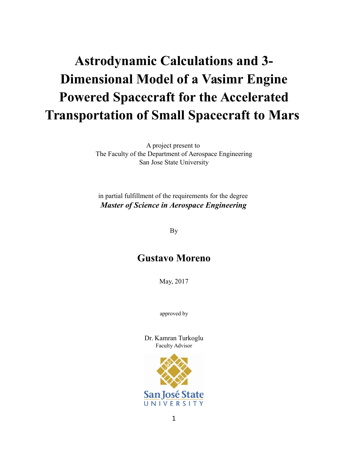# **Astrodynamic Calculations and 3- Dimensional Model of a Vasimr Engine Powered Spacecraft for the Accelerated Transportation of Small Spacecraft to Mars**

A project present to The Faculty of the Department of Aerospace Engineering San Jose State University

in partial fulfillment of the requirements for the degree *Master of Science in Aerospace Engineering*

By

# **Gustavo Moreno**

May, 2017

approved by

Dr. Kamran Turkoglu Faculty Advisor

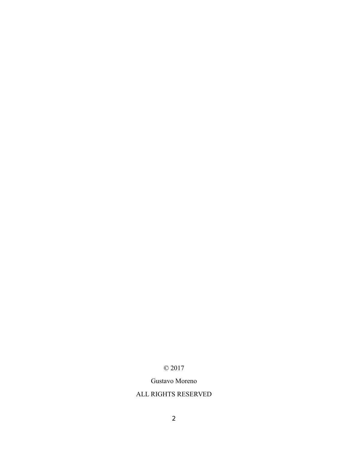# © 2017

# Gustavo Moreno

# ALL RIGHTS RESERVED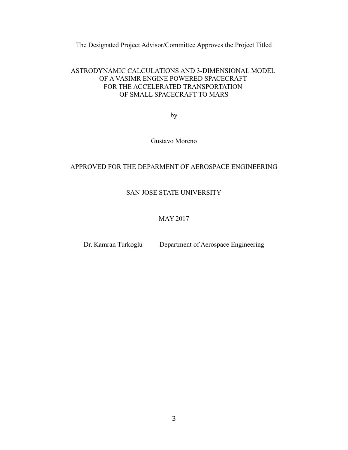The Designated Project Advisor/Committee Approves the Project Titled

# ASTRODYNAMIC CALCULATIONS AND 3-DIMENSIONAL MODEL OF A VASIMR ENGINE POWERED SPACECRAFT FOR THE ACCELERATED TRANSPORTATION OF SMALL SPACECRAFT TO MARS

by

Gustavo Moreno

# APPROVED FOR THE DEPARMENT OF AEROSPACE ENGINEERING

# SAN JOSE STATE UNIVERSITY

## MAY 2017

Dr. Kamran Turkoglu Department of Aerospace Engineering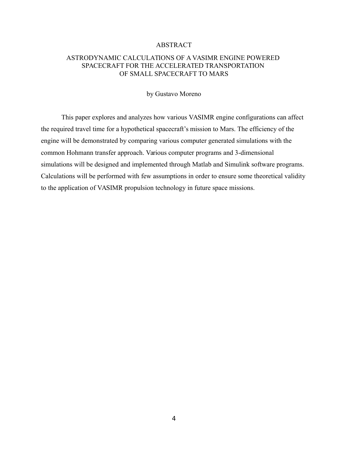#### ABSTRACT

# ASTRODYNAMIC CALCULATIONS OF A VASIMR ENGINE POWERED SPACECRAFT FOR THE ACCELERATED TRANSPORTATION OF SMALL SPACECRAFT TO MARS

## by Gustavo Moreno

This paper explores and analyzes how various VASIMR engine configurations can affect the required travel time for a hypothetical spacecraft's mission to Mars. The efficiency of the engine will be demonstrated by comparing various computer generated simulations with the common Hohmann transfer approach. Various computer programs and 3-dimensional simulations will be designed and implemented through Matlab and Simulink software programs. Calculations will be performed with few assumptions in order to ensure some theoretical validity to the application of VASIMR propulsion technology in future space missions.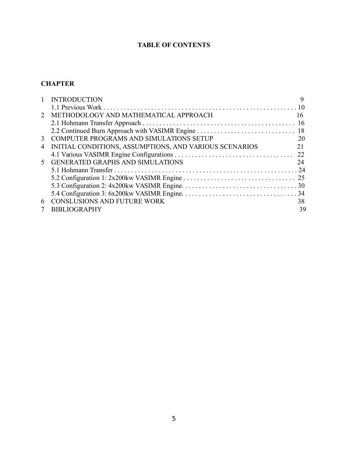# **TABLE OF CONTENTS**

# **CHAPTER**

|                | <b>INTRODUCTION</b>                                    | 9  |
|----------------|--------------------------------------------------------|----|
|                |                                                        |    |
| 2              | METHODOLOGY AND MATHEMATICAL APPROACH                  | 16 |
|                |                                                        |    |
|                |                                                        |    |
| 3              | <b>COMPUTER PROGRAMS AND SIMULATIONS SETUP</b>         | 20 |
| $\overline{4}$ | INITIAL CONDITIONS, ASSUMPTIONS, AND VARIOUS SCENARIOS | 21 |
|                |                                                        |    |
| 5.             | <b>GENERATED GRAPHS AND SIMULATIONS</b>                | 24 |
|                |                                                        |    |
|                |                                                        | 25 |
|                |                                                        |    |
|                |                                                        | 34 |
| 6              | <b>CONSLUSIONS AND FUTURE WORK</b>                     | 38 |
|                | <b>BIBLIOGRAPHY</b>                                    | 39 |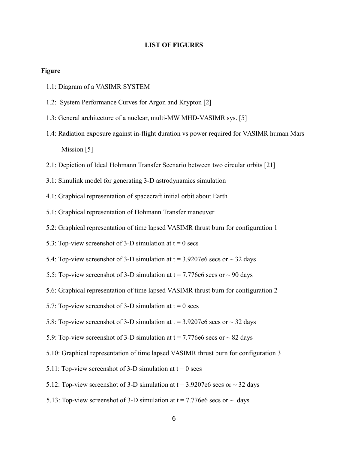#### **LIST OF FIGURES**

#### **Figure**

- 1.1: Diagram of a VASIMR SYSTEM
- 1.2: System Performance Curves for Argon and Krypton [2]
- 1.3: General architecture of a nuclear, multi-MW MHD-VASIMR sys. [5]
- 1.4: Radiation exposure against in-flight duration vs power required for VASIMR human Mars Mission [5]
- 2.1: Depiction of Ideal Hohmann Transfer Scenario between two circular orbits [21]
- 3.1: Simulink model for generating 3-D astrodynamics simulation
- 4.1: Graphical representation of spacecraft initial orbit about Earth
- 5.1: Graphical representation of Hohmann Transfer maneuver
- 5.2: Graphical representation of time lapsed VASIMR thrust burn for configuration 1
- 5.3: Top-view screenshot of 3-D simulation at  $t = 0$  secs
- 5.4: Top-view screenshot of 3-D simulation at  $t = 3.9207e6$  secs or  $\sim$  32 days
- 5.5: Top-view screenshot of 3-D simulation at  $t = 7.776e6$  secs or  $\sim 90$  days
- 5.6: Graphical representation of time lapsed VASIMR thrust burn for configuration 2
- 5.7: Top-view screenshot of 3-D simulation at  $t = 0$  secs
- 5.8: Top-view screenshot of 3-D simulation at  $t = 3.9207e6$  secs or  $\sim$  32 days
- 5.9: Top-view screenshot of 3-D simulation at  $t = 7.776e6$  secs or  $\sim 82$  days
- 5.10: Graphical representation of time lapsed VASIMR thrust burn for configuration 3
- 5.11: Top-view screenshot of 3-D simulation at  $t = 0$  secs
- 5.12: Top-view screenshot of 3-D simulation at  $t = 3.9207e6$  secs or  $\sim$  32 days
- 5.13: Top-view screenshot of 3-D simulation at  $t = 7.776e6$  secs or  $\sim$  days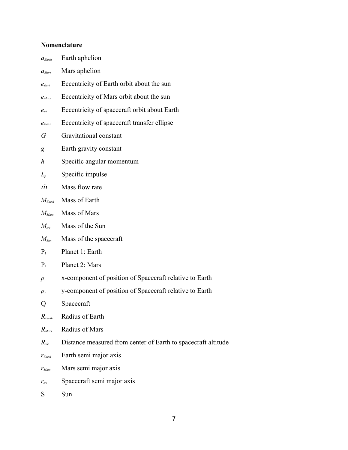# **Nomenclature**

| $a_{\text{Earth}}$           | Earth aphelion                                                |
|------------------------------|---------------------------------------------------------------|
| $a_{Mars}$                   | Mars aphelion                                                 |
| $e_{\text{E}ar}$             | Eccentricity of Earth orbit about the sun                     |
| $e_{Mars}$                   | Eccentricity of Mars orbit about the sun                      |
| $e_{\scriptscriptstyle s/c}$ | Eccentricity of spacecraft orbit about Earth                  |
| $e_{trans}$                  | Eccentricity of spacecraft transfer ellipse                   |
| G                            | Gravitational constant                                        |
| g                            | Earth gravity constant                                        |
| h                            | Specific angular momentum                                     |
| $I_{\scriptscriptstyle sp}$  | Specific impulse                                              |
| m                            | Mass flow rate                                                |
| $M_{Earth}$                  | Mass of Earth                                                 |
| $M_{Mars}$                   | Mass of Mars                                                  |
| $M_{s/c}$                    | Mass of the Sun                                               |
| $M_{\textit{\tiny{Sun}}}$    | Mass of the spacecraft                                        |
| $P_1$                        | Planet 1: Earth                                               |
| P <sub>2</sub>               | Planet 2: Mars                                                |
| $p_{\rm x}$                  | x-component of position of Spacecraft relative to Earth       |
| $p_{y}$                      | y-component of position of Spacecraft relative to Earth       |
| Q                            | Spacecraft                                                    |
| $R_{\text{Earth}}$           | Radius of Earth                                               |
| $R_{Mars}$                   | Radius of Mars                                                |
| $R_{\tiny \textrm{sc}}$      | Distance measured from center of Earth to spacecraft altitude |
| $r_{\text{Earth}}$           | Earth semi major axis                                         |
| $r_{Mars}$                   | Mars semi major axis                                          |
| $r_{s/c}$                    | Spacecraft semi major axis                                    |

S Sun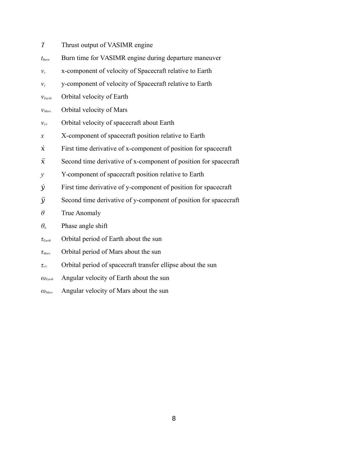- *T* Thrust output of VASIMR engine
- *tBurn* Burn time for VASIMR engine during departure maneuver
- $v_x$  x-component of velocity of Spacecraft relative to Earth
- $v_y$  y-component of velocity of Spacecraft relative to Earth
- *vEarth* Orbital velocity of Earth
- *vMars* Orbital velocity of Mars
- *vs/c* Orbital velocity of spacecraft about Earth
- *x* X-component of spacecraft position relative to Earth
- $\dot{x}$  First time derivative of x-component of position for spacecraft
- $\ddot{x}$  Second time derivative of x-component of position for spacecraft
- *y* Y-component of spacecraft position relative to Earth
- *ẏ* First time derivative of y-component of position for spacecraft
- *ӱ* Second time derivative of y-component of position for spacecraft
- *θ* True Anomaly

# *θ<sup>∆</sup>* Phase angle shift

- *τEarth* Orbital period of Earth about the sun
- *τMars* Orbital period of Mars about the sun
- *τs/c* Orbital period of spacecraft transfer ellipse about the sun
- *ωEarth* Angular velocity of Earth about the sun
- *ωMars* Angular velocity of Mars about the sun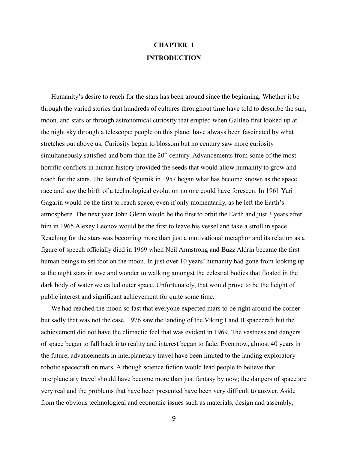# **CHAPTER 1 INTRODUCTION**

Humanity's desire to reach for the stars has been around since the beginning. Whether it be through the varied stories that hundreds of cultures throughout time have told to describe the sun, moon, and stars or through astronomical curiosity that erupted when Galileo first looked up at the night sky through a telescope; people on this planet have always been fascinated by what stretches out above us. Curiosity began to blossom but no century saw more curiosity simultaneously satisfied and born than the  $20<sup>th</sup>$  century. Advancements from some of the most horrific conflicts in human history provided the seeds that would allow humanity to grow and reach for the stars. The launch of Sputnik in 1957 began what has become known as the space race and saw the birth of a technological evolution no one could have foreseen. In 1961 Yuri Gagarin would be the first to reach space, even if only momentarily, as he left the Earth's atmosphere. The next year John Glenn would be the first to orbit the Earth and just 3 years after him in 1965 Alexey Leonov would be the first to leave his vessel and take a stroll in space. Reaching for the stars was becoming more than just a motivational metaphor and its relation as a figure of speech officially died in 1969 when Neil Armstrong and Buzz Aldrin became the first human beings to set foot on the moon. In just over 10 years' humanity had gone from looking up at the night stars in awe and wonder to walking amongst the celestial bodies that floated in the dark body of water we called outer space. Unfortunately, that would prove to be the height of public interest and significant achievement for quite some time.

We had reached the moon so fast that everyone expected mars to be right around the corner but sadly that was not the case. 1976 saw the landing of the Viking I and II spacecraft but the achievement did not have the climactic feel that was evident in 1969. The vastness and dangers of space began to fall back into reality and interest began to fade. Even now, almost 40 years in the future, advancements in interplanetary travel have been limited to the landing exploratory robotic spacecraft on mars. Although science fiction would lead people to believe that interplanetary travel should have become more than just fantasy by now; the dangers of space are very real and the problems that have been presented have been very difficult to answer. Aside from the obvious technological and economic issues such as materials, design and assembly,

9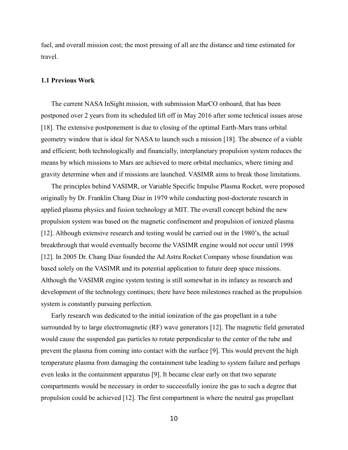fuel, and overall mission cost; the most pressing of all are the distance and time estimated for travel.

#### **1.1 Previous Work**

The current NASA InSight mission, with submission MarCO onboard, that has been postponed over 2 years from its scheduled lift off in May 2016 after some technical issues arose [18]. The extensive postponement is due to closing of the optimal Earth-Mars trans orbital geometry window that is ideal for NASA to launch such a mission [18]. The absence of a viable and efficient; both technologically and financially, interplanetary propulsion system reduces the means by which missions to Mars are achieved to mere orbital mechanics, where timing and gravity determine when and if missions are launched. VASIMR aims to break those limitations.

The principles behind VASIMR, or Variable Specific Impulse Plasma Rocket, were proposed originally by Dr. Franklin Chang Diaz in 1979 while conducting post-doctorate research in applied plasma physics and fusion technology at MIT. The overall concept behind the new propulsion system was based on the magnetic confinement and propulsion of ionized plasma [12]. Although extensive research and testing would be carried out in the 1980's, the actual breakthrough that would eventually become the VASIMR engine would not occur until 1998 [12]. In 2005 Dr. Chang Diaz founded the Ad Astra Rocket Company whose foundation was based solely on the VASIMR and its potential application to future deep space missions. Although the VASIMR engine system testing is still somewhat in its infancy as research and development of the technology continues; there have been milestones reached as the propulsion system is constantly pursuing perfection.

Early research was dedicated to the initial ionization of the gas propellant in a tube surrounded by to large electromagnetic (RF) wave generators [12]. The magnetic field generated would cause the suspended gas particles to rotate perpendicular to the center of the tube and prevent the plasma from coming into contact with the surface [9]. This would prevent the high temperature plasma from damaging the containment tube leading to system failure and perhaps even leaks in the containment apparatus [9]. It became clear early on that two separate compartments would be necessary in order to successfully ionize the gas to such a degree that propulsion could be achieved [12]. The first compartment is where the neutral gas propellant

10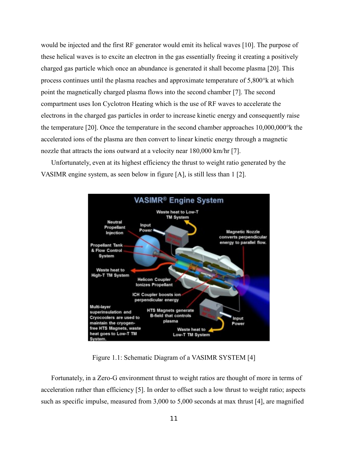would be injected and the first RF generator would emit its helical waves [10]. The purpose of these helical waves is to excite an electron in the gas essentially freeing it creating a positively charged gas particle which once an abundance is generated it shall become plasma [20]. This process continues until the plasma reaches and approximate temperature of 5,800°k at which point the magnetically charged plasma flows into the second chamber [7]. The second compartment uses Ion Cyclotron Heating which is the use of RF waves to accelerate the electrons in the charged gas particles in order to increase kinetic energy and consequently raise the temperature [20]. Once the temperature in the second chamber approaches 10,000,000°k the accelerated ions of the plasma are then convert to linear kinetic energy through a magnetic nozzle that attracts the ions outward at a velocity near 180,000 km/hr [7].

Unfortunately, even at its highest efficiency the thrust to weight ratio generated by the VASIMR engine system, as seen below in figure [A], is still less than 1 [2].



Figure 1.1: Schematic Diagram of a VASIMR SYSTEM [4]

Fortunately, in a Zero-G environment thrust to weight ratios are thought of more in terms of acceleration rather than efficiency [5]. In order to offset such a low thrust to weight ratio; aspects such as specific impulse, measured from 3,000 to 5,000 seconds at max thrust [4], are magnified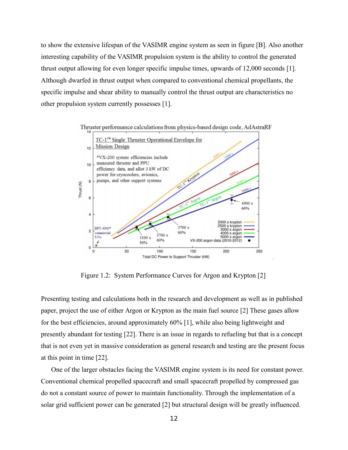to show the extensive lifespan of the VASIMR engine system as seen in figure [B]. Also another interesting capability of the VASIMR propulsion system is the ability to control the generated thrust output allowing for even longer specific impulse times, upwards of 12,000 seconds [1]. Although dwarfed in thrust output when compared to conventional chemical propellants, the specific impulse and shear ability to manually control the thrust output are characteristics no other propulsion system currently possesses [1].



Figure 1.2: System Performance Curves for Argon and Krypton [2]

Presenting testing and calculations both in the research and development as well as in published paper, project the use of either Argon or Krypton as the main fuel source [2] These gases allow for the best efficiencies, around approximately 60% [1], while also being lightweight and presently abundant for testing [22]. There is an issue in regards to refueling but that is a concept that is not even yet in massive consideration as general research and testing are the present focus at this point in time [22].

One of the larger obstacles facing the VASIMR engine system is its need for constant power. Conventional chemical propelled spacecraft and small spacecraft propelled by compressed gas do not a constant source of power to maintain functionality. Through the implementation of a solar grid sufficient power can be generated [2] but structural design will be greatly influenced.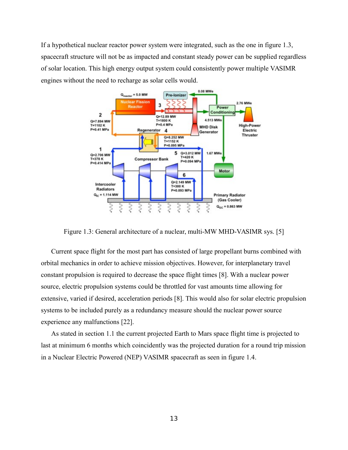If a hypothetical nuclear reactor power system were integrated, such as the one in figure 1.3, spacecraft structure will not be as impacted and constant steady power can be supplied regardless of solar location. This high energy output system could consistently power multiple VASIMR engines without the need to recharge as solar cells would.



Figure 1.3: General architecture of a nuclear, multi-MW MHD-VASIMR sys. [5]

Current space flight for the most part has consisted of large propellant burns combined with orbital mechanics in order to achieve mission objectives. However, for interplanetary travel constant propulsion is required to decrease the space flight times [8]. With a nuclear power source, electric propulsion systems could be throttled for vast amounts time allowing for extensive, varied if desired, acceleration periods [8]. This would also for solar electric propulsion systems to be included purely as a redundancy measure should the nuclear power source experience any malfunctions [22].

As stated in section 1.1 the current projected Earth to Mars space flight time is projected to last at minimum 6 months which coincidently was the projected duration for a round trip mission in a Nuclear Electric Powered (NEP) VASIMR spacecraft as seen in figure 1.4.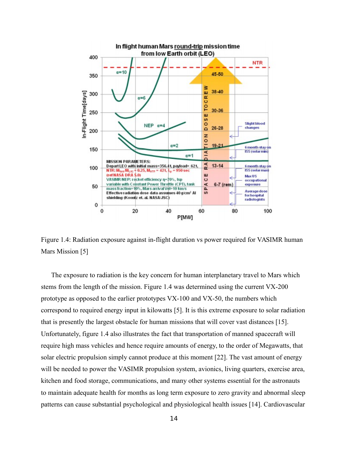

Figure 1.4: Radiation exposure against in-flight duration vs power required for VASIMR human Mars Mission [5]

The exposure to radiation is the key concern for human interplanetary travel to Mars which stems from the length of the mission. Figure 1.4 was determined using the current VX-200 prototype as opposed to the earlier prototypes VX-100 and VX-50, the numbers which correspond to required energy input in kilowatts [5]. It is this extreme exposure to solar radiation that is presently the largest obstacle for human missions that will cover vast distances [15]. Unfortunately, figure 1.4 also illustrates the fact that transportation of manned spacecraft will require high mass vehicles and hence require amounts of energy, to the order of Megawatts, that solar electric propulsion simply cannot produce at this moment [22]. The vast amount of energy will be needed to power the VASIMR propulsion system, avionics, living quarters, exercise area, kitchen and food storage, communications, and many other systems essential for the astronauts to maintain adequate health for months as long term exposure to zero gravity and abnormal sleep patterns can cause substantial psychological and physiological health issues [14]. Cardiovascular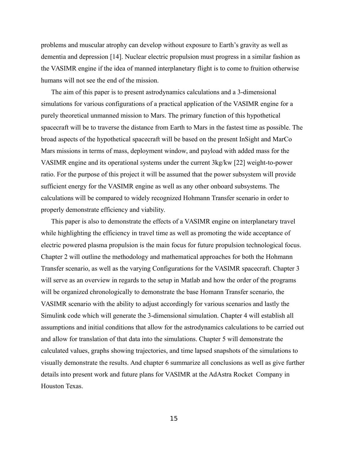problems and muscular atrophy can develop without exposure to Earth's gravity as well as dementia and depression [14]. Nuclear electric propulsion must progress in a similar fashion as the VASIMR engine if the idea of manned interplanetary flight is to come to fruition otherwise humans will not see the end of the mission.

The aim of this paper is to present astrodynamics calculations and a 3-dimensional simulations for various configurations of a practical application of the VASIMR engine for a purely theoretical unmanned mission to Mars. The primary function of this hypothetical spacecraft will be to traverse the distance from Earth to Mars in the fastest time as possible. The broad aspects of the hypothetical spacecraft will be based on the present InSight and MarCo Mars missions in terms of mass, deployment window, and payload with added mass for the VASIMR engine and its operational systems under the current 3kg/kw [22] weight-to-power ratio. For the purpose of this project it will be assumed that the power subsystem will provide sufficient energy for the VASIMR engine as well as any other onboard subsystems. The calculations will be compared to widely recognized Hohmann Transfer scenario in order to properly demonstrate efficiency and viability.

This paper is also to demonstrate the effects of a VASIMR engine on interplanetary travel while highlighting the efficiency in travel time as well as promoting the wide acceptance of electric powered plasma propulsion is the main focus for future propulsion technological focus. Chapter 2 will outline the methodology and mathematical approaches for both the Hohmann Transfer scenario, as well as the varying Configurations for the VASIMR spacecraft. Chapter 3 will serve as an overview in regards to the setup in Matlab and how the order of the programs will be organized chronologically to demonstrate the base Homann Transfer scenario, the VASIMR scenario with the ability to adjust accordingly for various scenarios and lastly the Simulink code which will generate the 3-dimensional simulation. Chapter 4 will establish all assumptions and initial conditions that allow for the astrodynamics calculations to be carried out and allow for translation of that data into the simulations. Chapter 5 will demonstrate the calculated values, graphs showing trajectories, and time lapsed snapshots of the simulations to visually demonstrate the results. And chapter 6 summarize all conclusions as well as give further details into present work and future plans for VASIMR at the AdAstra Rocket Company in Houston Texas.

15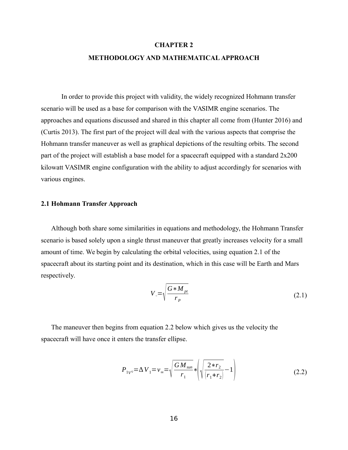#### **CHAPTER 2**

## **METHODOLOGY AND MATHEMATICAL APPROACH**

In order to provide this project with validity, the widely recognized Hohmann transfer scenario will be used as a base for comparison with the VASIMR engine scenarios. The approaches and equations discussed and shared in this chapter all come from (Hunter 2016) and (Curtis 2013). The first part of the project will deal with the various aspects that comprise the Hohmann transfer maneuver as well as graphical depictions of the resulting orbits. The second part of the project will establish a base model for a spacecraft equipped with a standard 2x200 kilowatt VASIMR engine configuration with the ability to adjust accordingly for scenarios with various engines.

#### **2.1 Hohmann Transfer Approach**

Although both share some similarities in equations and methodology, the Hohmann Transfer scenario is based solely upon a single thrust maneuver that greatly increases velocity for a small amount of time. We begin by calculating the orbital velocities, using equation 2.1 of the spacecraft about its starting point and its destination, which in this case will be Earth and Mars respectively.

$$
V_{\circ} = \sqrt{\frac{G * M_{pt}}{r_p}}
$$
 (2.1)

The maneuver then begins from equation 2.2 below which gives us the velocity the spacecraft will have once it enters the transfer ellipse.

$$
P_{1V^{0}} = \Delta V_{1} = v_{\infty} = \sqrt{\frac{GM_{sun}}{r_{1}}} * \left(\sqrt{\frac{2*r_{2}}{r_{1}+r_{2}}}-1\right)
$$
 (2.2)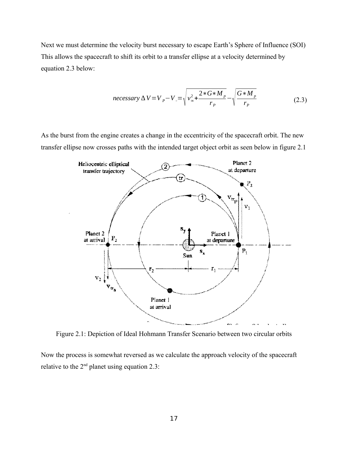Next we must determine the velocity burst necessary to escape Earth's Sphere of Influence (SOI) This allows the spacecraft to shift its orbit to a transfer ellipse at a velocity determined by equation 2.3 below:

$$
necessary \Delta V = V_p - V_e = \sqrt{v_{\infty}^2 + \frac{2 * G * M_p}{r_p}} - \sqrt{\frac{G * M_p}{r_p}}
$$
(2.3)

As the burst from the engine creates a change in the eccentricity of the spacecraft orbit. The new transfer ellipse now crosses paths with the intended target object orbit as seen below in figure 2.1



Figure 2.1: Depiction of Ideal Hohmann Transfer Scenario between two circular orbits

Now the process is somewhat reversed as we calculate the approach velocity of the spacecraft relative to the  $2<sup>nd</sup>$  planet using equation 2.3: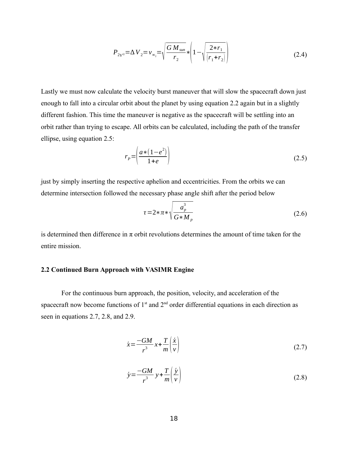$$
P_{2V^{2}} = \Delta V_{2} = v_{\infty_{2}} = \sqrt{\frac{GM_{sun}}{r_{2}}} * \left(1 - \sqrt{\frac{2*r_{1}}{(r_{1} + r_{2})}}\right)
$$
(2.4)

Lastly we must now calculate the velocity burst maneuver that will slow the spacecraft down just enough to fall into a circular orbit about the planet by using equation 2.2 again but in a slightly different fashion. This time the maneuver is negative as the spacecraft will be settling into an orbit rather than trying to escape. All orbits can be calculated, including the path of the transfer ellipse, using equation 2.5:

$$
r_p = \left(\frac{a*(1-e^2)}{1+e}\right) \tag{2.5}
$$

just by simply inserting the respective aphelion and eccentricities. From the orbits we can determine intersection followed the necessary phase angle shift after the period below

$$
\tau = 2 * \pi * \sqrt{\frac{a_p^3}{G * M_p}}
$$
\n(2.6)

is determined then difference in  $\pi$  orbit revolutions determines the amount of time taken for the entire mission.

## **2.2 Continued Burn Approach with VASIMR Engine**

For the continuous burn approach, the position, velocity, and acceleration of the spacecraft now become functions of  $1<sup>st</sup>$  and  $2<sup>nd</sup>$  order differential equations in each direction as seen in equations 2.7, 2.8, and 2.9.

$$
\dot{x} = \frac{-GM}{r^3}x + \frac{T}{m}\left(\frac{\dot{x}}{v}\right) \tag{2.7}
$$

$$
\dot{y} = \frac{-GM}{r^3} y + \frac{T}{m} \left( \frac{\dot{y}}{v} \right)
$$
\n(2.8)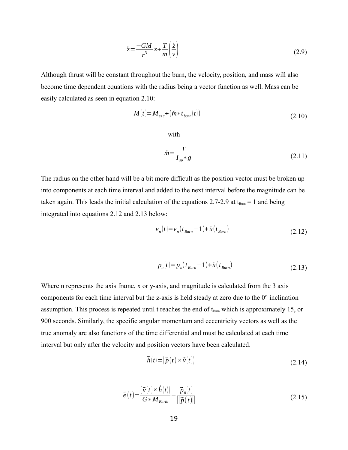$$
\dot{z} = \frac{-GM}{r^3}z + \frac{T}{m}\left(\frac{\dot{z}}{v}\right) \tag{2.9}
$$

Although thrust will be constant throughout the burn, the velocity, position, and mass will also become time dependent equations with the radius being a vector function as well. Mass can be easily calculated as seen in equation 2.10:

$$
M(t) = M_{s/c} + (\acute{m} * t_{burn}(t))
$$
\n(2.10)

with

$$
\dot{m} = \frac{T}{I_{sp} * g} \tag{2.11}
$$

The radius on the other hand will be a bit more difficult as the position vector must be broken up into components at each time interval and added to the next interval before the magnitude can be taken again. This leads the initial calculation of the equations 2.7-2.9 at  $t_{\text{Burn}} = 1$  and being integrated into equations 2.12 and 2.13 below:

$$
v_n(t) = v_n(t_{\text{Burn}} - 1) + \dot{x}(t_{\text{burn}}) \tag{2.12}
$$

$$
p_n(t) = p_n(t_{Burn} - 1) + \dot{x}(t_{Burn})
$$
\n(2.13)

Where n represents the axis frame, x or y-axis, and magnitude is calculated from the 3 axis components for each time interval but the z-axis is held steady at zero due to the 0° inclination assumption. This process is repeated until t reaches the end of  $t_{\text{Burn}}$  which is approximately 15, or 900 seconds. Similarly, the specific angular momentum and eccentricity vectors as well as the true anomaly are also functions of the time differential and must be calculated at each time interval but only after the velocity and position vectors have been calculated.

$$
\vec{h}(t) = (\vec{p}(t) \times \vec{v}(t))
$$
\n(2.14)

$$
\vec{e}(t) = \frac{(\vec{v}(t) \times \vec{h}(t))}{G * M_{Earth}} - \frac{\vec{p}_n(t)}{\|\vec{p}(t)\|}
$$
(2.15)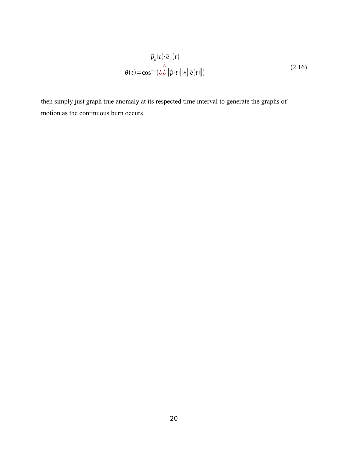$$
\vec{p}_n(t) \cdot \vec{e}_n(t)
$$
\n
$$
\theta(t) = \cos^{-1}(\lambda \vec{\omega} ||\vec{p}(t)|| \cdot ||\vec{e}(t)||)
$$
\n(2.16)

then simply just graph true anomaly at its respected time interval to generate the graphs of motion as the continuous burn occurs.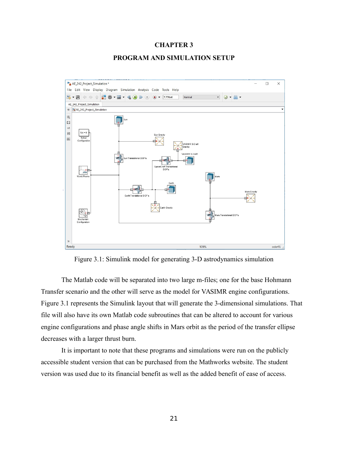#### **CHAPTER 3**

#### **PROGRAM AND SIMULATION SETUP**



Figure 3.1: Simulink model for generating 3-D astrodynamics simulation

The Matlab code will be separated into two large m-files; one for the base Hohmann Transfer scenario and the other will serve as the model for VASIMR engine configurations. Figure 3.1 represents the Simulink layout that will generate the 3-dimensional simulations. That file will also have its own Matlab code subroutines that can be altered to account for various engine configurations and phase angle shifts in Mars orbit as the period of the transfer ellipse decreases with a larger thrust burn.

It is important to note that these programs and simulations were run on the publicly accessible student version that can be purchased from the Mathworks website. The student version was used due to its financial benefit as well as the added benefit of ease of access.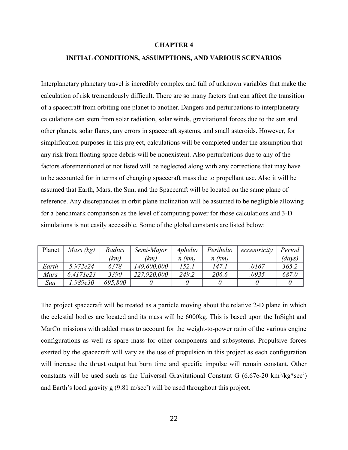#### **CHAPTER 4**

## **INITIAL CONDITIONS, ASSUMPTIONS, AND VARIOUS SCENARIOS**

Interplanetary planetary travel is incredibly complex and full of unknown variables that make the calculation of risk tremendously difficult. There are so many factors that can affect the transition of a spacecraft from orbiting one planet to another. Dangers and perturbations to interplanetary calculations can stem from solar radiation, solar winds, gravitational forces due to the sun and other planets, solar flares, any errors in spacecraft systems, and small asteroids. However, for simplification purposes in this project, calculations will be completed under the assumption that any risk from floating space debris will be nonexistent. Also perturbations due to any of the factors aforementioned or not listed will be neglected along with any corrections that may have to be accounted for in terms of changing spacecraft mass due to propellant use. Also it will be assumed that Earth, Mars, the Sun, and the Spacecraft will be located on the same plane of reference. Any discrepancies in orbit plane inclination will be assumed to be negligible allowing for a benchmark comparison as the level of computing power for those calculations and 3-D simulations is not easily accessible. Some of the global constants are listed below:

| Planet | Mass $(kg)$  | Radius  | Semi-Major  | Aphelio  | Perihelio | eccentricity | Period                         |
|--------|--------------|---------|-------------|----------|-----------|--------------|--------------------------------|
|        |              | (km)    | (km)        | $n$ (km) | $n$ (km)  |              | $\left($ <i>days</i> $\right)$ |
| Earth  | 5.972e24     | 6378    | 149,600,000 | 152.1    | 147.1     | .0167        | 365.2                          |
| Mars   | $6.417$ le23 | 3390    | 227,920,000 | 249.2    | 206.6     | 0935         | 687.0                          |
| Sun    | l.989e30     | 695,800 |             |          |           |              |                                |

The project spacecraft will be treated as a particle moving about the relative 2-D plane in which the celestial bodies are located and its mass will be 6000kg. This is based upon the InSight and MarCo missions with added mass to account for the weight-to-power ratio of the various engine configurations as well as spare mass for other components and subsystems. Propulsive forces exerted by the spacecraft will vary as the use of propulsion in this project as each configuration will increase the thrust output but burn time and specific impulse will remain constant. Other constants will be used such as the Universal Gravitational Constant G  $(6.67e-20 \text{ km}^3/\text{kg}^* \text{sec}^2)$ and Earth's local gravity g (9.81 m/sec<sup>2</sup>) will be used throughout this project.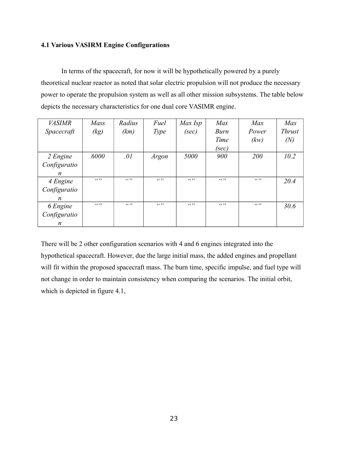## **4.1 Various VASIRM Engine Configurations**

In terms of the spacecraft, for now it will be hypothetically powered by a purely theoretical nuclear reactor as noted that solar electric propulsion will not produce the necessary power to operate the propulsion system as well as all other mission subsystems. The table below depicts the necessary characteristics for one dual core VASIMR engine.

| <b>VASIMR</b>    | <b>Mass</b> | Radius | Fuel   | Max Isp | Max    | Max    | Max           |
|------------------|-------------|--------|--------|---------|--------|--------|---------------|
| Spacecraft       | (kg)        | (km)   | Type   | (sec)   | Burn   | Power  | <b>Thrust</b> |
|                  |             |        |        |         | Time   | (kw)   | (N)           |
|                  |             |        |        |         | (sec)  |        |               |
| 2 Engine         | 6000        | .01    | Argon  | 5000    | 900    | 200    | 10.2          |
| Configuratio     |             |        |        |         |        |        |               |
| $\boldsymbol{n}$ |             |        |        |         |        |        |               |
| 4 Engine         | (6, 9)      | (6)    | (6, 9) | (6, 9)  | (6, 9) | (0, 2) | 20.4          |
| Configuratio     |             |        |        |         |        |        |               |
| n                |             |        |        |         |        |        |               |
| 6 Engine         | (6, 9)      | (6)    | (6, 9) | (6, 9)  | (6, 9) | (6, 9) | 30.6          |
| Configuratio     |             |        |        |         |        |        |               |
| n                |             |        |        |         |        |        |               |

There will be 2 other configuration scenarios with 4 and 6 engines integrated into the hypothetical spacecraft. However, due the large initial mass, the added engines and propellant will fit within the proposed spacecraft mass. The burn time, specific impulse, and fuel type will not change in order to maintain consistency when comparing the scenarios. The initial orbit, which is depicted in figure 4.1,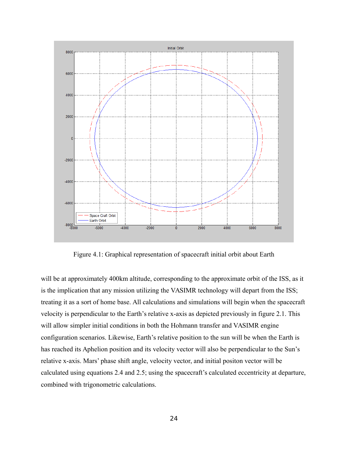

Figure 4.1: Graphical representation of spacecraft initial orbit about Earth

will be at approximately 400km altitude, corresponding to the approximate orbit of the ISS, as it is the implication that any mission utilizing the VASIMR technology will depart from the ISS; treating it as a sort of home base. All calculations and simulations will begin when the spacecraft velocity is perpendicular to the Earth's relative x-axis as depicted previously in figure 2.1. This will allow simpler initial conditions in both the Hohmann transfer and VASIMR engine configuration scenarios. Likewise, Earth's relative position to the sun will be when the Earth is has reached its Aphelion position and its velocity vector will also be perpendicular to the Sun's relative x-axis. Mars' phase shift angle, velocity vector, and initial positon vector will be calculated using equations 2.4 and 2.5; using the spacecraft's calculated eccentricity at departure, combined with trigonometric calculations.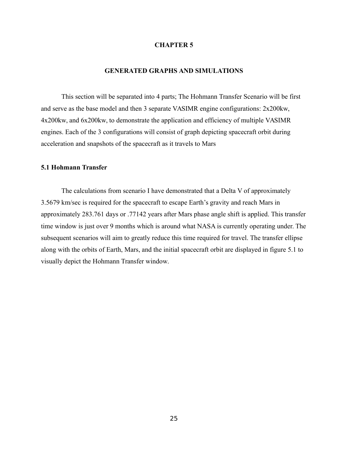#### **CHAPTER 5**

#### **GENERATED GRAPHS AND SIMULATIONS**

This section will be separated into 4 parts; The Hohmann Transfer Scenario will be first and serve as the base model and then 3 separate VASIMR engine configurations: 2x200kw, 4x200kw, and 6x200kw, to demonstrate the application and efficiency of multiple VASIMR engines. Each of the 3 configurations will consist of graph depicting spacecraft orbit during acceleration and snapshots of the spacecraft as it travels to Mars

## **5.1 Hohmann Transfer**

The calculations from scenario I have demonstrated that a Delta V of approximately 3.5679 km/sec is required for the spacecraft to escape Earth's gravity and reach Mars in approximately 283.761 days or .77142 years after Mars phase angle shift is applied. This transfer time window is just over 9 months which is around what NASA is currently operating under. The subsequent scenarios will aim to greatly reduce this time required for travel. The transfer ellipse along with the orbits of Earth, Mars, and the initial spacecraft orbit are displayed in figure 5.1 to visually depict the Hohmann Transfer window.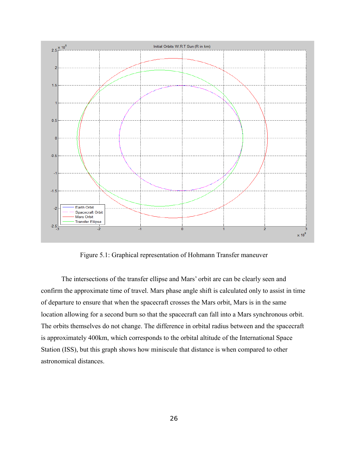

Figure 5.1: Graphical representation of Hohmann Transfer maneuver

The intersections of the transfer ellipse and Mars' orbit are can be clearly seen and confirm the approximate time of travel. Mars phase angle shift is calculated only to assist in time of departure to ensure that when the spacecraft crosses the Mars orbit, Mars is in the same location allowing for a second burn so that the spacecraft can fall into a Mars synchronous orbit. The orbits themselves do not change. The difference in orbital radius between and the spacecraft is approximately 400km, which corresponds to the orbital altitude of the International Space Station (ISS), but this graph shows how miniscule that distance is when compared to other astronomical distances.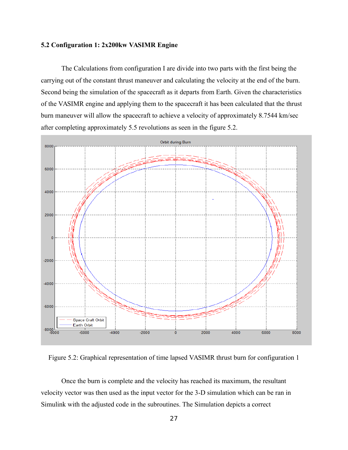#### **5.2 Configuration 1: 2x200kw VASIMR Engine**

The Calculations from configuration I are divide into two parts with the first being the carrying out of the constant thrust maneuver and calculating the velocity at the end of the burn. Second being the simulation of the spacecraft as it departs from Earth. Given the characteristics of the VASIMR engine and applying them to the spacecraft it has been calculated that the thrust burn maneuver will allow the spacecraft to achieve a velocity of approximately 8.7544 km/sec after completing approximately 5.5 revolutions as seen in the figure 5.2.



Figure 5.2: Graphical representation of time lapsed VASIMR thrust burn for configuration 1

Once the burn is complete and the velocity has reached its maximum, the resultant velocity vector was then used as the input vector for the 3-D simulation which can be ran in Simulink with the adjusted code in the subroutines. The Simulation depicts a correct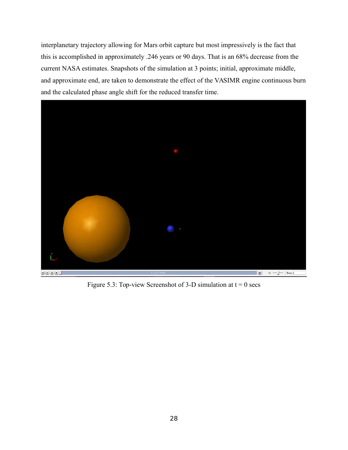interplanetary trajectory allowing for Mars orbit capture but most impressively is the fact that this is accomplished in approximately .246 years or 90 days. That is an 68% decrease from the current NASA estimates. Snapshots of the simulation at 3 points; initial, approximate middle, and approximate end, are taken to demonstrate the effect of the VASIMR engine continuous burn and the calculated phase angle shift for the reduced transfer time.



Figure 5.3: Top-view Screenshot of 3-D simulation at  $t = 0$  secs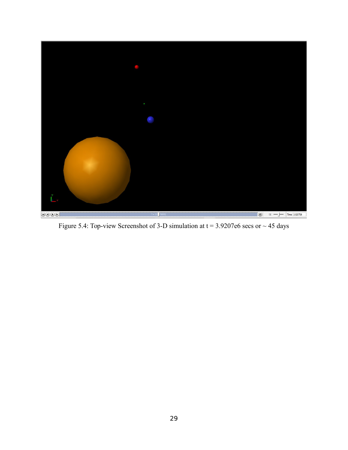

Figure 5.4: Top-view Screenshot of 3-D simulation at  $t = 3.9207e6$  secs or  $\sim$  45 days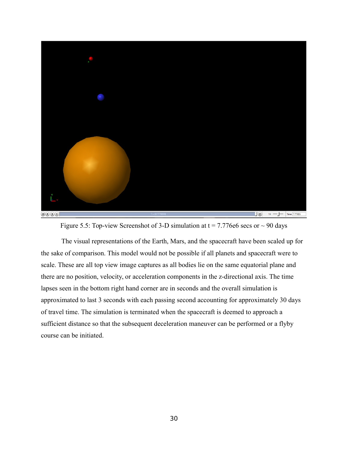

Figure 5.5: Top-view Screenshot of 3-D simulation at  $t = 7.776e6$  secs or  $\sim$  90 days

The visual representations of the Earth, Mars, and the spacecraft have been scaled up for the sake of comparison. This model would not be possible if all planets and spacecraft were to scale. These are all top view image captures as all bodies lie on the same equatorial plane and there are no position, velocity, or acceleration components in the z-directional axis. The time lapses seen in the bottom right hand corner are in seconds and the overall simulation is approximated to last 3 seconds with each passing second accounting for approximately 30 days of travel time. The simulation is terminated when the spacecraft is deemed to approach a sufficient distance so that the subsequent deceleration maneuver can be performed or a flyby course can be initiated.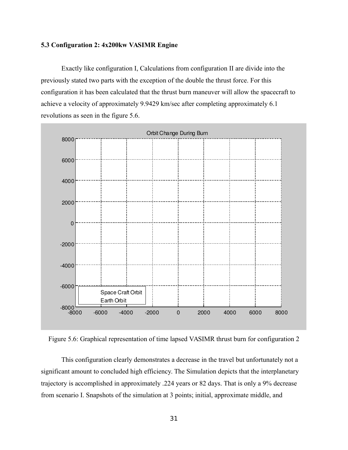#### **5.3 Configuration 2: 4x200kw VASIMR Engine**

Exactly like configuration I, Calculations from configuration II are divide into the previously stated two parts with the exception of the double the thrust force. For this configuration it has been calculated that the thrust burn maneuver will allow the spacecraft to achieve a velocity of approximately 9.9429 km/sec after completing approximately 6.1 revolutions as seen in the figure 5.6.



Figure 5.6: Graphical representation of time lapsed VASIMR thrust burn for configuration 2

This configuration clearly demonstrates a decrease in the travel but unfortunately not a significant amount to concluded high efficiency. The Simulation depicts that the interplanetary trajectory is accomplished in approximately .224 years or 82 days. That is only a 9% decrease from scenario I. Snapshots of the simulation at 3 points; initial, approximate middle, and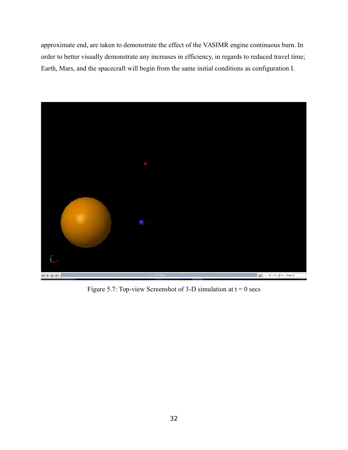approximate end, are taken to demonstrate the effect of the VASIMR engine continuous burn. In order to better visually demonstrate any increases in efficiency, in regards to reduced travel time; Earth, Mars, and the spacecraft will begin from the same initial conditions as configuration I.



Figure 5.7: Top-view Screenshot of 3-D simulation at  $t = 0$  secs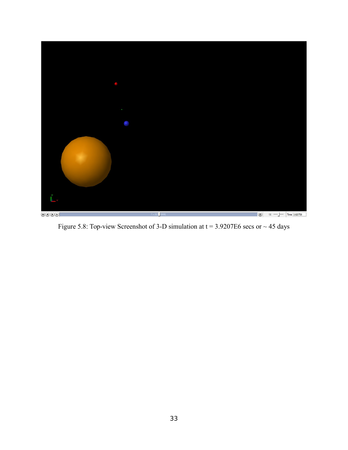

Figure 5.8: Top-view Screenshot of 3-D simulation at  $t = 3.9207E6$  secs or  $\sim$  45 days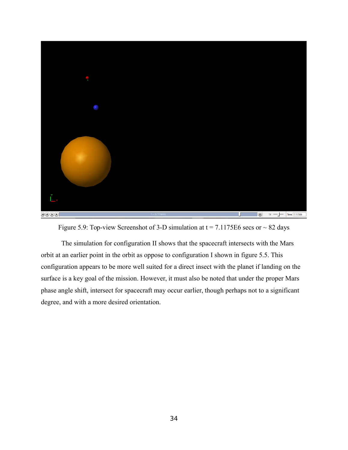

Figure 5.9: Top-view Screenshot of 3-D simulation at  $t = 7.1175E6$  secs or  $\sim 82$  days

The simulation for configuration II shows that the spacecraft intersects with the Mars orbit at an earlier point in the orbit as oppose to configuration I shown in figure 5.5. This configuration appears to be more well suited for a direct insect with the planet if landing on the surface is a key goal of the mission. However, it must also be noted that under the proper Mars phase angle shift, intersect for spacecraft may occur earlier, though perhaps not to a significant degree, and with a more desired orientation.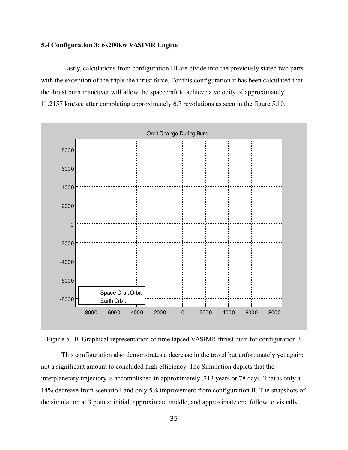#### **5.4 Configuration 3: 6x200kw VASIMR Engine**

 Lastly, calculations from configuration III are divide into the previously stated two parts with the exception of the triple the thrust force. For this configuration it has been calculated that the thrust burn maneuver will allow the spacecraft to achieve a velocity of approximately 11.2157 km/sec after completing approximately 6.7 revolutions as seen in the figure 5.10.





This configuration also demonstrates a decrease in the travel but unfortunately yet again; not a significant amount to concluded high efficiency. The Simulation depicts that the interplanetary trajectory is accomplished in approximately .213 years or 78 days. That is only a 14% decrease from scenario I and only 5% improvement from configuration II. The snapshots of the simulation at 3 points; initial, approximate middle, and approximate end follow to visually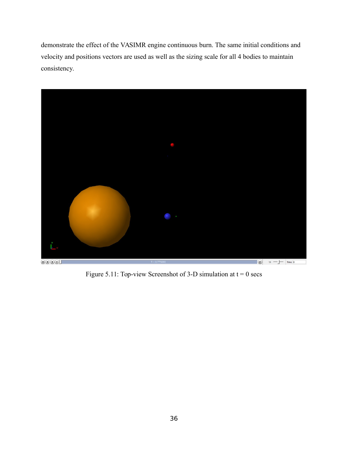demonstrate the effect of the VASIMR engine continuous burn. The same initial conditions and velocity and positions vectors are used as well as the sizing scale for all 4 bodies to maintain consistency.



Figure 5.11: Top-view Screenshot of 3-D simulation at  $t = 0$  secs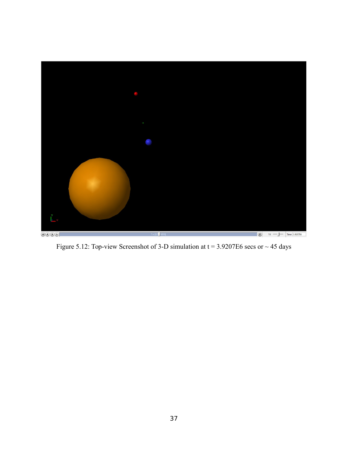

Figure 5.12: Top-view Screenshot of 3-D simulation at  $t = 3.9207E6$  secs or  $\sim$  45 days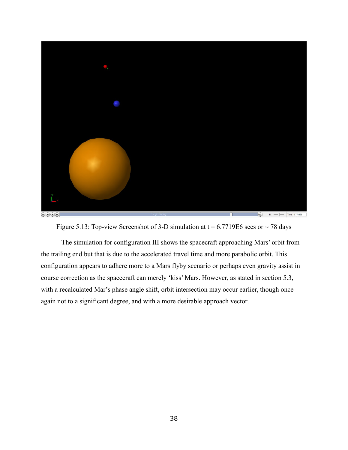

Figure 5.13: Top-view Screenshot of 3-D simulation at  $t = 6.7719E6$  secs or  $\sim$  78 days

The simulation for configuration III shows the spacecraft approaching Mars' orbit from the trailing end but that is due to the accelerated travel time and more parabolic orbit. This configuration appears to adhere more to a Mars flyby scenario or perhaps even gravity assist in course correction as the spacecraft can merely 'kiss' Mars. However, as stated in section 5.3, with a recalculated Mar's phase angle shift, orbit intersection may occur earlier, though once again not to a significant degree, and with a more desirable approach vector.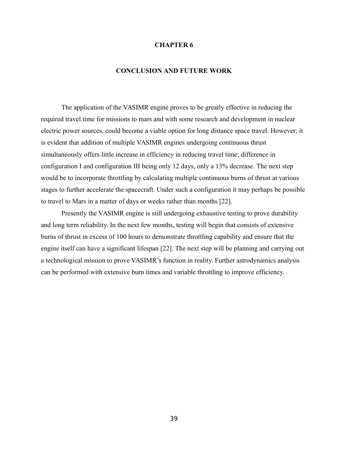#### **CHAPTER 6**

#### **CONCLUSION AND FUTURE WORK**

The application of the VASIMR engine proves to be greatly effective in reducing the required travel time for missions to mars and with some research and development in nuclear electric power sources, could become a viable option for long distance space travel. However; it is evident that addition of multiple VASIMR engines undergoing continuous thrust simultaneously offers little increase in efficiency in reducing travel time; difference in configuration I and configuration III being only 12 days, only a 13% decrease. The next step would be to incorporate throttling by calculating multiple continuous burns of thrust at various stages to further accelerate the spacecraft. Under such a configuration it may perhaps be possible to travel to Mars in a matter of days or weeks rather than months [22].

Presently the VASIMR engine is still undergoing exhaustive testing to prove durability and long term reliability. In the next few months, testing will begin that consists of extensive burns of thrust in excess of 100 hours to demonstrate throttling capability and ensure that the engine itself can have a significant lifespan [22]. The next step will be planning and carrying out a technological mission to prove VASIMR's function in reality. Further astrodynamics analysis can be performed with extensive burn times and variable throttling to improve efficiency.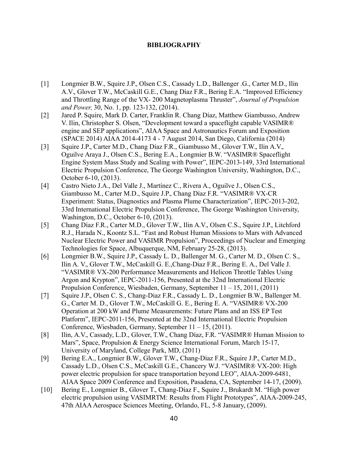# **BIBLIOGRAPHY**

- [1] Longmier B.W., Squire J.P., Olsen C.S., Cassady L.D., Ballenger .G., Carter M.D., Ilin A.V., Glover T.W., McCaskill G.E., Chang Díaz F.R., Bering E.A. "Improved Efficiency and Throttling Range of the VX- 200 Magnetoplasma Thruster", *Journal of Propulsion and Power,* 30, No. 1, pp. 123-132, (2014).
- [2] Jared P. Squire, Mark D. Carter, Franklin R. Chang Díaz, Matthew Giambusso, Andrew V. Ilin, Christopher S. Olsen, "Development toward a spaceflight capable VASIMR® engine and SEP applications", AIAA Space and Astronautics Forum and Exposition (SPACE 2014) AIAA 2014-4173 4 - 7 August 2014, San Diego, California (2014)
- [3] Squire J.P., Carter M.D., Chang Díaz F.R., Giambusso M., Glover T.W., Ilin A.V., Oguilve Araya J., Olsen C.S., Bering E.A., Longmier B.W. "VASIMR® Spaceflight Engine System Mass Study and Scaling with Power", IEPC-2013-149, 33rd International Electric Propulsion Conference, The George Washington University, Washington, D.C., October 6-10, (2013).
- [4] Castro Nieto J.A., Del Valle J., Martínez C., Rivera A., Oguilve J., Olsen C.S., Giambusso M., Carter M.D., Squire J.P., Chang Díaz F.R. "VASIMR® VX-CR Experiment: Status, Diagnostics and Plasma Plume Characterization", IEPC-2013-202, 33rd International Electric Propulsion Conference, The George Washington University, Washington, D.C., October 6-10, (2013).
- [5] Chang Díaz F.R., Carter M.D., Glover T.W., Ilin A.V., Olsen C.S., Squire J.P., Litchford R.J., Harada N., Koontz S.L. "Fast and Robust Human Missions to Mars with Advanced Nuclear Electric Power and VASIMR Propulsion", Proceedings of Nuclear and Emerging Technologies for Space, Albuquerque, NM, February 25-28, (2013).
- [6] Longmier B.W., Squire J.P., Cassady L. D., Ballenger M. G., Carter M. D., Olsen C. S., Ilin A. V., Glover T.W., McCaskill G. E.,Chang-Diaz F.R., Bering E. A., Del Valle J. "VASIMR® VX-200 Performance Measurements and Helicon Throttle Tables Using Argon and Krypton", IEPC-2011-156, Presented at the 32nd International Electric Propulsion Conference, Wiesbaden, Germany, September 11 – 15, 2011, (2011)
- [7] Squire J.P., Olsen C. S., Chang-Diaz F.R., Cassady L. D., Longmier B.W., Ballenger M. G., Carter M. D., Glover T.W., McCaskill G. E., Bering E. A. "VASIMR® VX-200 Operation at 200 kW and Plume Measurements: Future Plans and an ISS EP Test Platform", IEPC-2011-156, Presented at the 32nd International Electric Propulsion Conference, Wiesbaden, Germany, September 11 – 15, (2011).
- [8] Ilin, A.V., Cassady, L.D., Glover, T.W., Chang Díaz, F.R. "VASIMR® Human Mission to Mars", Space, Propulsion & Energy Science International Forum, March 15-17, University of Maryland, College Park, MD, (2011)
- [9] Bering E.A., Longmier B.W., Glover T.W., Chang-Díaz F.R., Squire J.P., Carter M.D., Cassady L.D., Olsen C.S., McCaskill G.E., Chancery W.J. "VASIMR® VX-200: High power electric propulsion for space transportation beyond LEO", AIAA-2009-6481, AIAA Space 2009 Conference and Exposition, Pasadena, CA, September 14-17, (2009).
- [10] Bering E., Longmier B., Glover T., Chang-Díaz F., Squire J., Brukardt M. "High power electric propulsion using VASIMRTM: Results from Flight Prototypes", AIAA-2009-245, 47th AIAA Aerospace Sciences Meeting, Orlando, FL, 5-8 January, (2009).